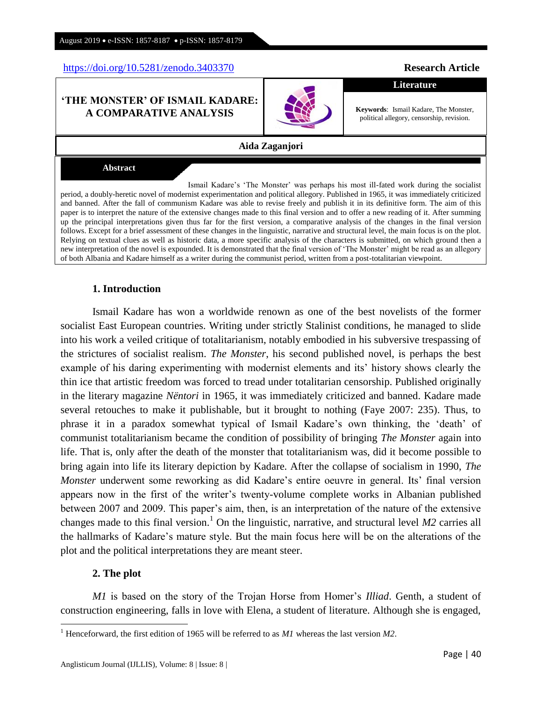<https://doi.org/10.5281/zenodo.3403370> **Research Article** 

### **"THE MONSTER" OF ISMAIL KADARE: A COMPARATIVE ANALYSIS**

**Aida Zaganjori**

**Abstract**

Ismail Kadare's ‗The Monster' was perhaps his most ill-fated work during the socialist period, a doubly-heretic novel of modernist experimentation and political allegory. Published in 1965, it was immediately criticized and banned. After the fall of communism Kadare was able to revise freely and publish it in its definitive form. The aim of this paper is to interpret the nature of the extensive changes made to this final version and to offer a new reading of it. After summing up the principal interpretations given thus far for the first version, a comparative analysis of the changes in the final version follows. Except for a brief assessment of these changes in the linguistic, narrative and structural level, the main focus is on the plot. Relying on textual clues as well as historic data, a more specific analysis of the characters is submitted, on which ground then a new interpretation of the novel is expounded. It is demonstrated that the final version of 'The Monster' might be read as an allegory of both Albania and Kadare himself as a writer during the communist period, written from a post-totalitarian viewpoint.

## **1. Introduction**

Ismail Kadare has won a worldwide renown as one of the best novelists of the former socialist East European countries. Writing under strictly Stalinist conditions, he managed to slide into his work a veiled critique of totalitarianism, notably embodied in his subversive trespassing of the strictures of socialist realism. *The Monster*, his second published novel, is perhaps the best example of his daring experimenting with modernist elements and its' history shows clearly the thin ice that artistic freedom was forced to tread under totalitarian censorship. Published originally in the literary magazine *Nëntori* in 1965, it was immediately criticized and banned. Kadare made several retouches to make it publishable, but it brought to nothing (Faye 2007: 235). Thus, to phrase it in a paradox somewhat typical of Ismail Kadare's own thinking, the ‗death' of communist totalitarianism became the condition of possibility of bringing *The Monster* again into life. That is, only after the death of the monster that totalitarianism was, did it become possible to bring again into life its literary depiction by Kadare. After the collapse of socialism in 1990, *The Monster* underwent some reworking as did Kadare's entire oeuvre in general. Its' final version appears now in the first of the writer's twenty-volume complete works in Albanian published between 2007 and 2009. This paper's aim, then, is an interpretation of the nature of the extensive changes made to this final version.<sup>1</sup> On the linguistic, narrative, and structural level  $M2$  carries all the hallmarks of Kadare's mature style. But the main focus here will be on the alterations of the plot and the political interpretations they are meant steer.

#### **2. The plot**

 $\overline{a}$ 

*M1* is based on the story of the Trojan Horse from Homer's *Illiad*. Genth, a student of construction engineering, falls in love with Elena, a student of literature. Although she is engaged,

**Literature**

**Keywords**: Ismail Kadare, The Monster, political allegory, censorship, revision.



<sup>1</sup> Henceforward, the first edition of 1965 will be referred to as *M1* whereas the last version *M2*.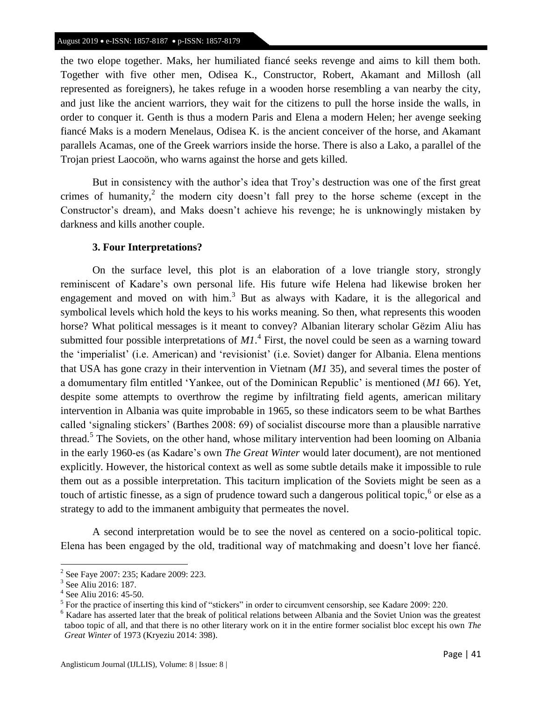the two elope together. Maks, her humiliated fiancé seeks revenge and aims to kill them both. Together with five other men, Odisea K., Constructor, Robert, Akamant and Millosh (all represented as foreigners), he takes refuge in a wooden horse resembling a van nearby the city, and just like the ancient warriors, they wait for the citizens to pull the horse inside the walls, in order to conquer it. Genth is thus a modern Paris and Elena a modern Helen; her avenge seeking fiancé Maks is a modern Menelaus, Odisea K. is the ancient conceiver of the horse, and Akamant parallels Acamas, one of the Greek warriors inside the horse. There is also a Lako, a parallel of the Trojan priest Laocoön, who warns against the horse and gets killed.

But in consistency with the author's idea that Troy's destruction was one of the first great crimes of humanity,<sup>2</sup> the modern city doesn't fall prey to the horse scheme (except in the Constructor's dream), and Maks doesn't achieve his revenge; he is unknowingly mistaken by darkness and kills another couple.

### **3. Four Interpretations?**

On the surface level, this plot is an elaboration of a love triangle story, strongly reminiscent of Kadare's own personal life. His future wife Helena had likewise broken her engagement and moved on with  $\lim_{n \to \infty} 3$  But as always with Kadare, it is the allegorical and symbolical levels which hold the keys to his works meaning. So then, what represents this wooden horse? What political messages is it meant to convey? Albanian literary scholar Gëzim Aliu has submitted four possible interpretations of  $M1$ <sup>4</sup>. First, the novel could be seen as a warning toward the ‗imperialist' (i.e. American) and ‗revisionist' (i.e. Soviet) danger for Albania. Elena mentions that USA has gone crazy in their intervention in Vietnam (*M1* 35), and several times the poster of a domumentary film entitled ‗Yankee, out of the Dominican Republic' is mentioned (*M1* 66). Yet, despite some attempts to overthrow the regime by infiltrating field agents, american military intervention in Albania was quite improbable in 1965, so these indicators seem to be what Barthes called 'signaling stickers' (Barthes 2008: 69) of socialist discourse more than a plausible narrative thread.<sup>5</sup> The Soviets, on the other hand, whose military intervention had been looming on Albania in the early 1960-es (as Kadare's own *The Great Winter* would later document), are not mentioned explicitly. However, the historical context as well as some subtle details make it impossible to rule them out as a possible interpretation. This taciturn implication of the Soviets might be seen as a touch of artistic finesse, as a sign of prudence toward such a dangerous political topic, <sup>6</sup> or else as a strategy to add to the immanent ambiguity that permeates the novel.

A second interpretation would be to see the novel as centered on a socio-political topic. Elena has been engaged by the old, traditional way of matchmaking and doesn't love her fiancé.

<sup>&</sup>lt;sup>2</sup> See Faye 2007: 235; Kadare 2009: 223.

<sup>3</sup> See Aliu 2016: 187.

<sup>4</sup> See Aliu 2016: 45-50.

 $<sup>5</sup>$  For the practice of inserting this kind of "stickers" in order to circumvent censorship, see Kadare 2009: 220.</sup>

<sup>6</sup> Kadare has asserted later that the break of political relations between Albania and the Soviet Union was the greatest taboo topic of all, and that there is no other literary work on it in the entire former socialist bloc except his own *The Great Winter* of 1973 (Kryeziu 2014: 398).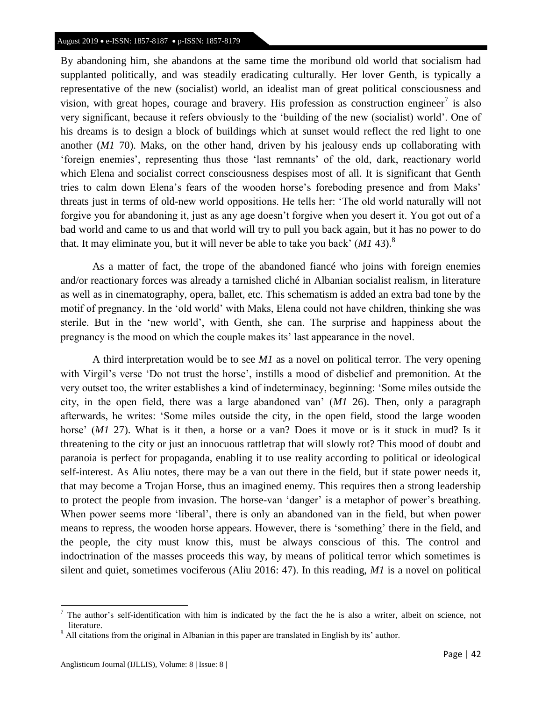#### August 2019 • e-ISSN: 1857-8187 • p-ISSN: 1857-8179

By abandoning him, she abandons at the same time the moribund old world that socialism had supplanted politically, and was steadily eradicating culturally. Her lover Genth, is typically a representative of the new (socialist) world, an idealist man of great political consciousness and vision, with great hopes, courage and bravery. His profession as construction engineer<sup>7</sup> is also very significant, because it refers obviously to the 'building of the new (socialist) world'. One of his dreams is to design a block of buildings which at sunset would reflect the red light to one another (*M1* 70). Maks, on the other hand, driven by his jealousy ends up collaborating with ‗foreign enemies', representing thus those ‗last remnants' of the old, dark, reactionary world which Elena and socialist correct consciousness despises most of all. It is significant that Genth tries to calm down Elena's fears of the wooden horse's foreboding presence and from Maks' threats just in terms of old-new world oppositions. He tells her: ‗The old world naturally will not forgive you for abandoning it, just as any age doesn't forgive when you desert it. You got out of a bad world and came to us and that world will try to pull you back again, but it has no power to do that. It may eliminate you, but it will never be able to take you back' (*M1* 43).<sup>8</sup>

As a matter of fact, the trope of the abandoned fiancé who joins with foreign enemies and/or reactionary forces was already a tarnished cliché in Albanian socialist realism, in literature as well as in cinematography, opera, ballet, etc. This schematism is added an extra bad tone by the motif of pregnancy. In the 'old world' with Maks, Elena could not have children, thinking she was sterile. But in the 'new world', with Genth, she can. The surprise and happiness about the pregnancy is the mood on which the couple makes its' last appearance in the novel.

A third interpretation would be to see *M1* as a novel on political terror. The very opening with Virgil's verse 'Do not trust the horse', instills a mood of disbelief and premonition. At the very outset too, the writer establishes a kind of indeterminacy, beginning: ‗Some miles outside the city, in the open field, there was a large abandoned van' (*M1* 26). Then, only a paragraph afterwards, he writes: ‗Some miles outside the city, in the open field, stood the large wooden horse' (*M1* 27). What is it then, a horse or a van? Does it move or is it stuck in mud? Is it threatening to the city or just an innocuous rattletrap that will slowly rot? This mood of doubt and paranoia is perfect for propaganda, enabling it to use reality according to political or ideological self-interest. As Aliu notes, there may be a van out there in the field, but if state power needs it, that may become a Trojan Horse, thus an imagined enemy. This requires then a strong leadership to protect the people from invasion. The horse-van 'danger' is a metaphor of power's breathing. When power seems more 'liberal', there is only an abandoned van in the field, but when power means to repress, the wooden horse appears. However, there is 'something' there in the field, and the people, the city must know this, must be always conscious of this. The control and indoctrination of the masses proceeds this way, by means of political terror which sometimes is silent and quiet, sometimes vociferous (Aliu 2016: 47). In this reading, *M1* is a novel on political

<sup>7</sup> The author's self-identification with him is indicated by the fact the he is also a writer, albeit on science, not literature.

 $8$  All citations from the original in Albanian in this paper are translated in English by its' author.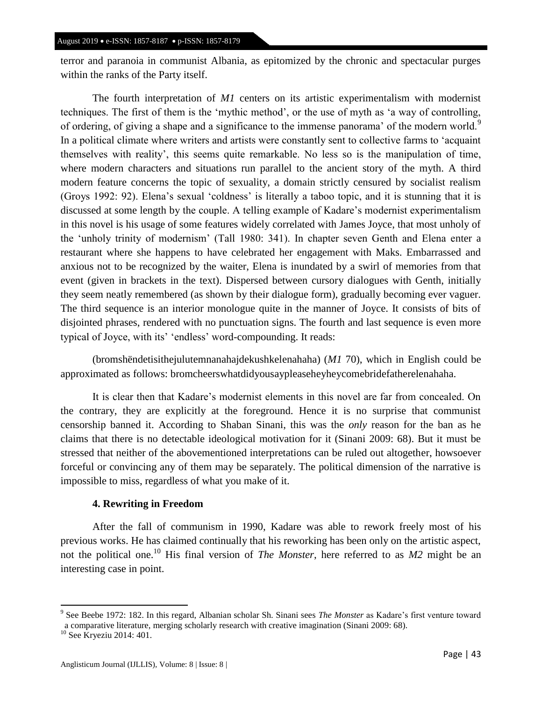terror and paranoia in communist Albania, as epitomized by the chronic and spectacular purges within the ranks of the Party itself.

The fourth interpretation of *M1* centers on its artistic experimentalism with modernist techniques. The first of them is the 'mythic method', or the use of myth as 'a way of controlling, of ordering, of giving a shape and a significance to the immense panorama' of the modern world.<sup>9</sup> In a political climate where writers and artists were constantly sent to collective farms to 'acquaint themselves with reality', this seems quite remarkable. No less so is the manipulation of time, where modern characters and situations run parallel to the ancient story of the myth. A third modern feature concerns the topic of sexuality, a domain strictly censured by socialist realism (Groys 1992: 92). Elena's sexual 'coldness' is literally a taboo topic, and it is stunning that it is discussed at some length by the couple. A telling example of Kadare's modernist experimentalism in this novel is his usage of some features widely correlated with James Joyce, that most unholy of the ‗unholy trinity of modernism' (Tall 1980: 341). In chapter seven Genth and Elena enter a restaurant where she happens to have celebrated her engagement with Maks. Embarrassed and anxious not to be recognized by the waiter, Elena is inundated by a swirl of memories from that event (given in brackets in the text). Dispersed between cursory dialogues with Genth, initially they seem neatly remembered (as shown by their dialogue form), gradually becoming ever vaguer. The third sequence is an interior monologue quite in the manner of Joyce. It consists of bits of disjointed phrases, rendered with no punctuation signs. The fourth and last sequence is even more typical of Joyce, with its' 'endless' word-compounding. It reads:

(bromshëndetisithejulutemnanahajdekushkelenahaha) (*M1* 70), which in English could be approximated as follows: bromcheerswhatdidyousaypleaseheyheycomebridefatherelenahaha.

It is clear then that Kadare's modernist elements in this novel are far from concealed. On the contrary, they are explicitly at the foreground. Hence it is no surprise that communist censorship banned it. According to Shaban Sinani, this was the *only* reason for the ban as he claims that there is no detectable ideological motivation for it (Sinani 2009: 68). But it must be stressed that neither of the abovementioned interpretations can be ruled out altogether, howsoever forceful or convincing any of them may be separately. The political dimension of the narrative is impossible to miss, regardless of what you make of it.

## **4. Rewriting in Freedom**

After the fall of communism in 1990, Kadare was able to rework freely most of his previous works. He has claimed continually that his reworking has been only on the artistic aspect, not the political one.<sup>10</sup> His final version of *The Monster*, here referred to as *M2* might be an interesting case in point.

<sup>9</sup> See Beebe 1972: 182. In this regard, Albanian scholar Sh. Sinani sees *The Monster* as Kadare's first venture toward a comparative literature, merging scholarly research with creative imagination (Sinani 2009: 68).

<sup>&</sup>lt;sup>10</sup> See Kryeziu 2014: 401.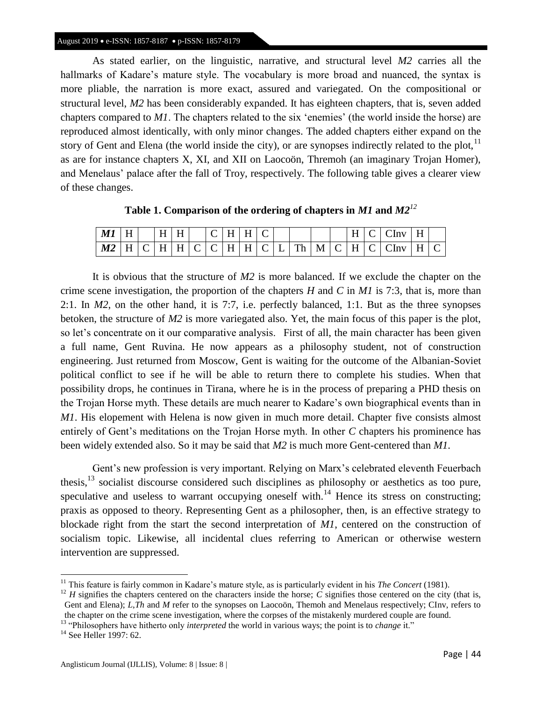As stated earlier, on the linguistic, narrative, and structural level *M2* carries all the hallmarks of Kadare's mature style. The vocabulary is more broad and nuanced, the syntax is more pliable, the narration is more exact, assured and variegated. On the compositional or structural level, *M2* has been considerably expanded. It has eighteen chapters, that is, seven added chapters compared to *M1*. The chapters related to the six 'enemies' (the world inside the horse) are reproduced almost identically, with only minor changes. The added chapters either expand on the story of Gent and Elena (the world inside the city), or are synopses indirectly related to the plot,  $<sup>11</sup>$ </sup> as are for instance chapters X, XI, and XII on Laocoön, Thremoh (an imaginary Trojan Homer), and Menelaus' palace after the fall of Troy, respectively. The following table gives a clearer view of these changes.

| Table 1. Comparison of the ordering of chapters in $MI$ and $M2^{12}$ |  |  |  |  |
|-----------------------------------------------------------------------|--|--|--|--|
|                                                                       |  |  |  |  |

| M1 | H | H | н |   | - |                     | н                             | ⌒ |    |   |   | <b>TT</b> |   | nv   | TT.<br>н |  |
|----|---|---|---|---|---|---------------------|-------------------------------|---|----|---|---|-----------|---|------|----------|--|
| M2 | н | н | н | ◡ | ◡ | $\mathsf{H}$<br>TT. | $\cdot$ + H + C + T + $\cdot$ |   | Th | M | ◡ | н.<br>    | ∽ | `Inv | н        |  |

It is obvious that the structure of *M2* is more balanced. If we exclude the chapter on the crime scene investigation, the proportion of the chapters *H* and *C* in *M1* is 7:3, that is, more than 2:1. In *M2*, on the other hand, it is 7:7, i.e. perfectly balanced, 1:1. But as the three synopses betoken, the structure of *M2* is more variegated also. Yet, the main focus of this paper is the plot, so let's concentrate on it our comparative analysis. First of all, the main character has been given a full name, Gent Ruvina. He now appears as a philosophy student, not of construction engineering. Just returned from Moscow, Gent is waiting for the outcome of the Albanian-Soviet political conflict to see if he will be able to return there to complete his studies. When that possibility drops, he continues in Tirana, where he is in the process of preparing a PHD thesis on the Trojan Horse myth. These details are much nearer to Kadare's own biographical events than in *M1*. His elopement with Helena is now given in much more detail. Chapter five consists almost entirely of Gent's meditations on the Trojan Horse myth. In other *C* chapters his prominence has been widely extended also. So it may be said that *M2* is much more Gent-centered than *M1*.

Gent's new profession is very important. Relying on Marx's celebrated eleventh Feuerbach thesis,<sup>13</sup> socialist discourse considered such disciplines as philosophy or aesthetics as too pure, speculative and useless to warrant occupying oneself with.<sup>14</sup> Hence its stress on constructing; praxis as opposed to theory. Representing Gent as a philosopher, then, is an effective strategy to blockade right from the start the second interpretation of *M1*, centered on the construction of socialism topic. Likewise, all incidental clues referring to American or otherwise western intervention are suppressed.

<sup>13</sup> "Philosophers have hitherto only *interpreted* the world in various ways; the point is to *change* it."

 $\overline{a}$ 

<sup>&</sup>lt;sup>11</sup> This feature is fairly common in Kadare's mature style, as is particularly evident in his *The Concert* (1981).

 $12$  *H* signifies the chapters centered on the characters inside the horse; *C* signifies those centered on the city (that is, Gent and Elena); *L*,*Th* and *M* refer to the synopses on Laocoön, Themoh and Menelaus respectively; CInv, refers to the chapter on the crime scene investigation, where the corpses of the mistakenly murdered couple are found.

<sup>&</sup>lt;sup>14</sup> See Heller 1997: 62.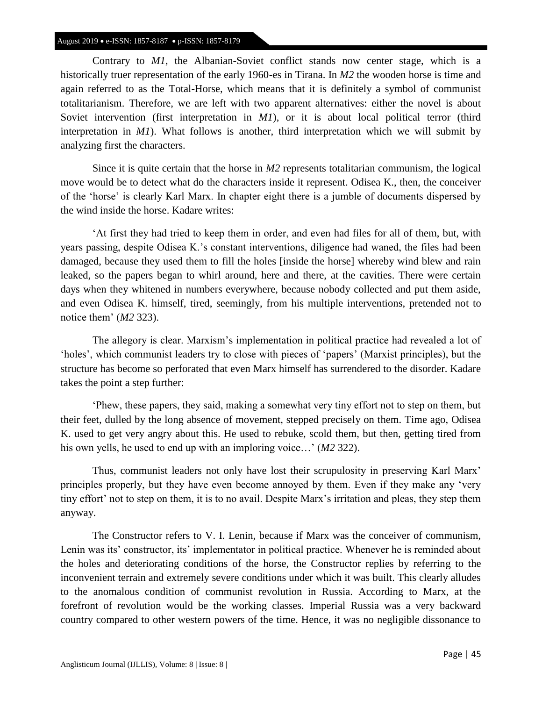#### August 2019 • e-ISSN: 1857-8187 • p-ISSN: 1857-8179

Contrary to *M1*, the Albanian-Soviet conflict stands now center stage, which is a historically truer representation of the early 1960-es in Tirana. In *M2* the wooden horse is time and again referred to as the Total-Horse, which means that it is definitely a symbol of communist totalitarianism. Therefore, we are left with two apparent alternatives: either the novel is about Soviet intervention (first interpretation in *M1*), or it is about local political terror (third interpretation in *M1*). What follows is another, third interpretation which we will submit by analyzing first the characters.

Since it is quite certain that the horse in *M2* represents totalitarian communism, the logical move would be to detect what do the characters inside it represent. Odisea K., then, the conceiver of the ‗horse' is clearly Karl Marx. In chapter eight there is a jumble of documents dispersed by the wind inside the horse. Kadare writes:

‗At first they had tried to keep them in order, and even had files for all of them, but, with years passing, despite Odisea K.'s constant interventions, diligence had waned, the files had been damaged, because they used them to fill the holes [inside the horse] whereby wind blew and rain leaked, so the papers began to whirl around, here and there, at the cavities. There were certain days when they whitened in numbers everywhere, because nobody collected and put them aside, and even Odisea K. himself, tired, seemingly, from his multiple interventions, pretended not to notice them' (*M2* 323).

The allegory is clear. Marxism's implementation in political practice had revealed a lot of ‗holes', which communist leaders try to close with pieces of ‗papers' (Marxist principles), but the structure has become so perforated that even Marx himself has surrendered to the disorder. Kadare takes the point a step further:

‗Phew, these papers, they said, making a somewhat very tiny effort not to step on them, but their feet, dulled by the long absence of movement, stepped precisely on them. Time ago, Odisea K. used to get very angry about this. He used to rebuke, scold them, but then, getting tired from his own yells, he used to end up with an imploring voice…' (*M2* 322).

Thus, communist leaders not only have lost their scrupulosity in preserving Karl Marx' principles properly, but they have even become annoyed by them. Even if they make any 'very tiny effort' not to step on them, it is to no avail. Despite Marx's irritation and pleas, they step them anyway.

The Constructor refers to V. I. Lenin, because if Marx was the conceiver of communism, Lenin was its' constructor, its' implementator in political practice. Whenever he is reminded about the holes and deteriorating conditions of the horse, the Constructor replies by referring to the inconvenient terrain and extremely severe conditions under which it was built. This clearly alludes to the anomalous condition of communist revolution in Russia. According to Marx, at the forefront of revolution would be the working classes. Imperial Russia was a very backward country compared to other western powers of the time. Hence, it was no negligible dissonance to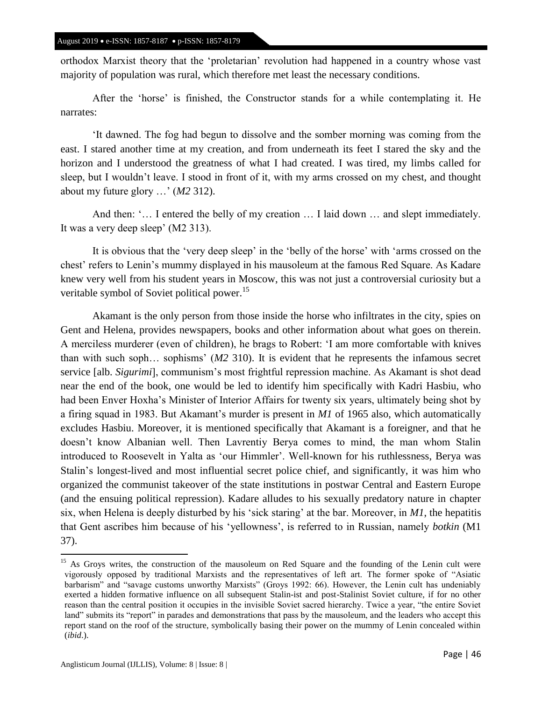orthodox Marxist theory that the 'proletarian' revolution had happened in a country whose vast majority of population was rural, which therefore met least the necessary conditions.

After the 'horse' is finished, the Constructor stands for a while contemplating it. He narrates:

‗It dawned. The fog had begun to dissolve and the somber morning was coming from the east. I stared another time at my creation, and from underneath its feet I stared the sky and the horizon and I understood the greatness of what I had created. I was tired, my limbs called for sleep, but I wouldn't leave. I stood in front of it, with my arms crossed on my chest, and thought about my future glory …' (*M2* 312).

And then: '... I entered the belly of my creation ... I laid down ... and slept immediately. It was a very deep sleep' (M2 313).

It is obvious that the 'very deep sleep' in the 'belly of the horse' with 'arms crossed on the chest' refers to Lenin's mummy displayed in his mausoleum at the famous Red Square. As Kadare knew very well from his student years in Moscow, this was not just a controversial curiosity but a veritable symbol of Soviet political power.<sup>15</sup>

Akamant is the only person from those inside the horse who infiltrates in the city, spies on Gent and Helena, provides newspapers, books and other information about what goes on therein. A merciless murderer (even of children), he brags to Robert: ‗I am more comfortable with knives than with such soph… sophisms' (*M2* 310). It is evident that he represents the infamous secret service [alb. *Sigurimi*], communism's most frightful repression machine. As Akamant is shot dead near the end of the book, one would be led to identify him specifically with Kadri Hasbiu, who had been Enver Hoxha's Minister of Interior Affairs for twenty six years, ultimately being shot by a firing squad in 1983. But Akamant's murder is present in *M1* of 1965 also, which automatically excludes Hasbiu. Moreover, it is mentioned specifically that Akamant is a foreigner, and that he doesn't know Albanian well. Then Lavrentiy Berya comes to mind, the man whom Stalin introduced to Roosevelt in Yalta as 'our Himmler'. Well-known for his ruthlessness, Berya was Stalin's longest-lived and most influential secret police chief, and significantly, it was him who organized the communist takeover of the state institutions in postwar Central and Eastern Europe (and the ensuing political repression). Kadare alludes to his sexually predatory nature in chapter six, when Helena is deeply disturbed by his 'sick staring' at the bar. Moreover, in  $MI$ , the hepatitis that Gent ascribes him because of his ‗yellowness', is referred to in Russian, namely *botkin* (M1 37).

 $\overline{a}$ 

<sup>&</sup>lt;sup>15</sup> As Groys writes, the construction of the mausoleum on Red Square and the founding of the Lenin cult were vigorously opposed by traditional Marxists and the representatives of left art. The former spoke of "Asiatic barbarism" and "savage customs unworthy Marxists" (Groys 1992: 66). However, the Lenin cult has undeniably exerted a hidden formative influence on all subsequent Stalin-ist and post-Stalinist Soviet culture, if for no other reason than the central position it occupies in the invisible Soviet sacred hierarchy. Twice a year, "the entire Soviet" land" submits its "report" in parades and demonstrations that pass by the mausoleum, and the leaders who accept this report stand on the roof of the structure, symbolically basing their power on the mummy of Lenin concealed within (*ibid*.).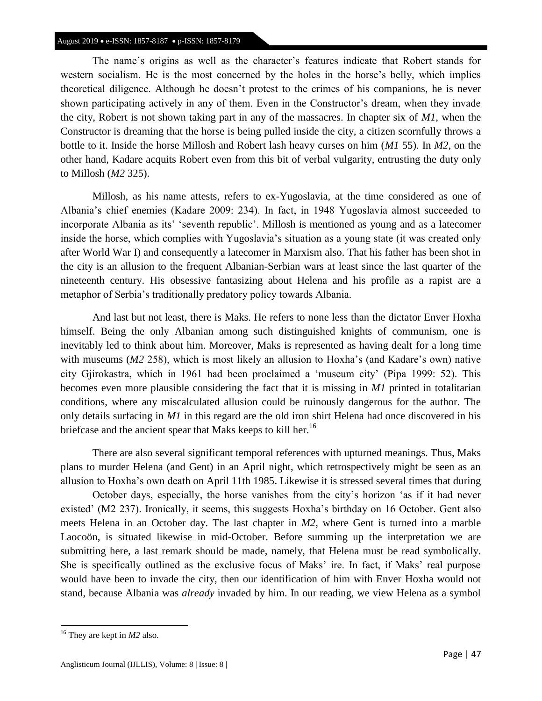#### August 2019 • e-ISSN: 1857-8187 • p-ISSN: 1857-8179

The name's origins as well as the character's features indicate that Robert stands for western socialism. He is the most concerned by the holes in the horse's belly, which implies theoretical diligence. Although he doesn't protest to the crimes of his companions, he is never shown participating actively in any of them. Even in the Constructor's dream, when they invade the city, Robert is not shown taking part in any of the massacres. In chapter six of *M1*, when the Constructor is dreaming that the horse is being pulled inside the city, a citizen scornfully throws a bottle to it. Inside the horse Millosh and Robert lash heavy curses on him (*M1* 55). In *M2*, on the other hand, Kadare acquits Robert even from this bit of verbal vulgarity, entrusting the duty only to Millosh (*M2* 325).

Millosh, as his name attests, refers to ex-Yugoslavia, at the time considered as one of Albania's chief enemies (Kadare 2009: 234). In fact, in 1948 Yugoslavia almost succeeded to incorporate Albania as its' 'seventh republic'. Millosh is mentioned as young and as a latecomer inside the horse, which complies with Yugoslavia's situation as a young state (it was created only after World War I) and consequently a latecomer in Marxism also. That his father has been shot in the city is an allusion to the frequent Albanian-Serbian wars at least since the last quarter of the nineteenth century. His obsessive fantasizing about Helena and his profile as a rapist are a metaphor of Serbia's traditionally predatory policy towards Albania.

And last but not least, there is Maks. He refers to none less than the dictator Enver Hoxha himself. Being the only Albanian among such distinguished knights of communism, one is inevitably led to think about him. Moreover, Maks is represented as having dealt for a long time with museums (*M2* 258), which is most likely an allusion to Hoxha's (and Kadare's own) native city Gjirokastra, which in 1961 had been proclaimed a ‗museum city' (Pipa 1999: 52). This becomes even more plausible considering the fact that it is missing in *M1* printed in totalitarian conditions, where any miscalculated allusion could be ruinously dangerous for the author. The only details surfacing in *M1* in this regard are the old iron shirt Helena had once discovered in his briefcase and the ancient spear that Maks keeps to kill her.<sup>16</sup>

There are also several significant temporal references with upturned meanings. Thus, Maks plans to murder Helena (and Gent) in an April night, which retrospectively might be seen as an allusion to Hoxha's own death on April 11th 1985. Likewise it is stressed several times that during

October days, especially, the horse vanishes from the city's horizon 'as if it had never existed' (M2 237). Ironically, it seems, this suggests Hoxha's birthday on 16 October. Gent also meets Helena in an October day. The last chapter in *M2*, where Gent is turned into a marble Laocoön, is situated likewise in mid-October. Before summing up the interpretation we are submitting here, a last remark should be made, namely, that Helena must be read symbolically. She is specifically outlined as the exclusive focus of Maks' ire. In fact, if Maks' real purpose would have been to invade the city, then our identification of him with Enver Hoxha would not stand, because Albania was *already* invaded by him. In our reading, we view Helena as a symbol

<sup>16</sup> They are kept in *M2* also.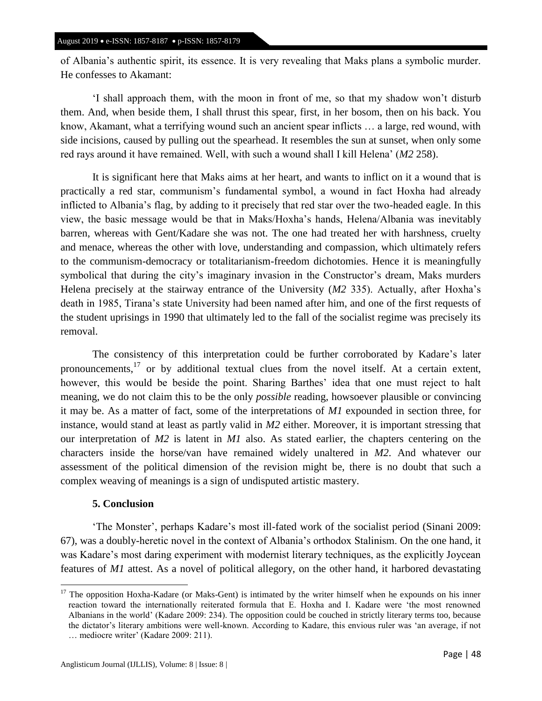of Albania's authentic spirit, its essence. It is very revealing that Maks plans a symbolic murder. He confesses to Akamant:

‗I shall approach them, with the moon in front of me, so that my shadow won't disturb them. And, when beside them, I shall thrust this spear, first, in her bosom, then on his back. You know, Akamant, what a terrifying wound such an ancient spear inflicts … a large, red wound, with side incisions, caused by pulling out the spearhead. It resembles the sun at sunset, when only some red rays around it have remained. Well, with such a wound shall I kill Helena' (*M2* 258).

It is significant here that Maks aims at her heart, and wants to inflict on it a wound that is practically a red star, communism's fundamental symbol, a wound in fact Hoxha had already inflicted to Albania's flag, by adding to it precisely that red star over the two-headed eagle. In this view, the basic message would be that in Maks/Hoxha's hands, Helena/Albania was inevitably barren, whereas with Gent/Kadare she was not. The one had treated her with harshness, cruelty and menace, whereas the other with love, understanding and compassion, which ultimately refers to the communism-democracy or totalitarianism-freedom dichotomies. Hence it is meaningfully symbolical that during the city's imaginary invasion in the Constructor's dream, Maks murders Helena precisely at the stairway entrance of the University (*M2* 335). Actually, after Hoxha's death in 1985, Tirana's state University had been named after him, and one of the first requests of the student uprisings in 1990 that ultimately led to the fall of the socialist regime was precisely its removal.

The consistency of this interpretation could be further corroborated by Kadare's later pronouncements,<sup>17</sup> or by additional textual clues from the novel itself. At a certain extent, however, this would be beside the point. Sharing Barthes' idea that one must reject to halt meaning, we do not claim this to be the only *possible* reading, howsoever plausible or convincing it may be. As a matter of fact, some of the interpretations of *M1* expounded in section three, for instance, would stand at least as partly valid in *M2* either. Moreover, it is important stressing that our interpretation of *M2* is latent in *M1* also. As stated earlier, the chapters centering on the characters inside the horse/van have remained widely unaltered in *M2*. And whatever our assessment of the political dimension of the revision might be, there is no doubt that such a complex weaving of meanings is a sign of undisputed artistic mastery.

## **5. Conclusion**

 $\overline{a}$ 

‗The Monster', perhaps Kadare's most ill-fated work of the socialist period (Sinani 2009: 67), was a doubly-heretic novel in the context of Albania's orthodox Stalinism. On the one hand, it was Kadare's most daring experiment with modernist literary techniques, as the explicitly Joycean features of *M1* attest. As a novel of political allegory, on the other hand, it harbored devastating

 $17$  The opposition Hoxha-Kadare (or Maks-Gent) is intimated by the writer himself when he expounds on his inner reaction toward the internationally reiterated formula that E. Hoxha and I. Kadare were 'the most renowned Albanians in the world' (Kadare 2009: 234). The opposition could be couched in strictly literary terms too, because the dictator's literary ambitions were well-known. According to Kadare, this envious ruler was ‗an average, if not … mediocre writer' (Kadare 2009: 211).